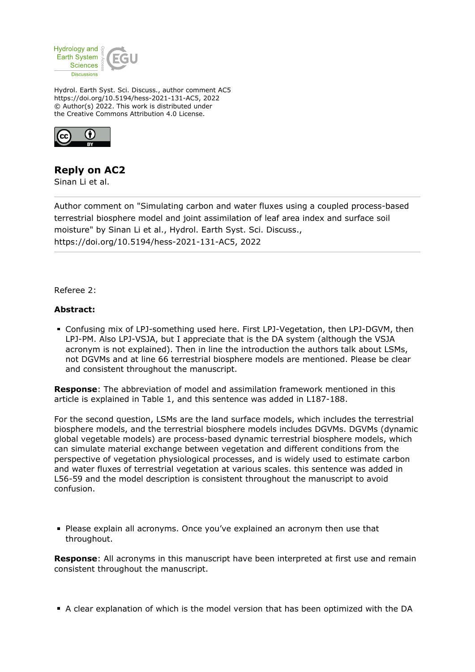

Hydrol. Earth Syst. Sci. Discuss., author comment AC5 https://doi.org/10.5194/hess-2021-131-AC5, 2022 © Author(s) 2022. This work is distributed under the Creative Commons Attribution 4.0 License.



# **Reply on AC2**

Sinan Li et al.

Author comment on "Simulating carbon and water fluxes using a coupled process-based terrestrial biosphere model and joint assimilation of leaf area index and surface soil moisture" by Sinan Li et al., Hydrol. Earth Syst. Sci. Discuss., https://doi.org/10.5194/hess-2021-131-AC5, 2022

Referee 2:

# **Abstract:**

Confusing mix of LPJ-something used here. First LPJ-Vegetation, then LPJ-DGVM, then LPJ-PM. Also LPJ-VSJA, but I appreciate that is the DA system (although the VSJA acronym is not explained). Then in line the introduction the authors talk about LSMs, not DGVMs and at line 66 terrestrial biosphere models are mentioned. Please be clear and consistent throughout the manuscript.

**Response**: The abbreviation of model and assimilation framework mentioned in this article is explained in Table 1, and this sentence was added in L187-188.

For the second question, LSMs are the land surface models, which includes the terrestrial biosphere models, and the terrestrial biosphere models includes DGVMs. DGVMs (dynamic global vegetable models) are process-based dynamic terrestrial biosphere models, which can simulate material exchange between vegetation and different conditions from the perspective of vegetation physiological processes, and is widely used to estimate carbon and water fluxes of terrestrial vegetation at various scales. this sentence was added in L56-59 and the model description is consistent throughout the manuscript to avoid confusion.

Please explain all acronyms. Once you've explained an acronym then use that throughout.

**Response**: All acronyms in this manuscript have been interpreted at first use and remain consistent throughout the manuscript.

A clear explanation of which is the model version that has been optimized with the DA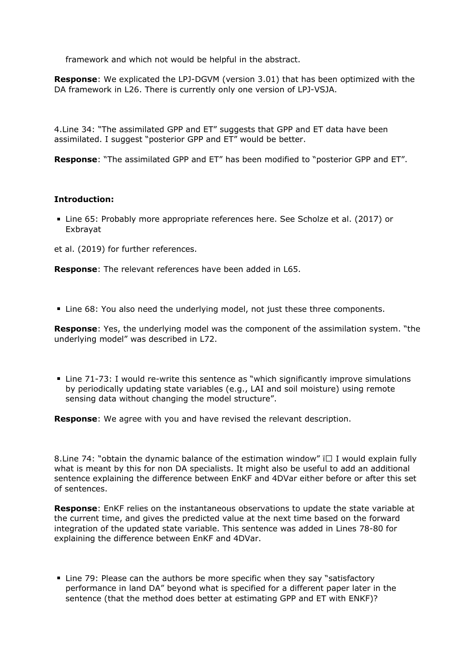framework and which not would be helpful in the abstract.

**Response**: We explicated the LPJ-DGVM (version 3.01) that has been optimized with the DA framework in L26. There is currently only one version of LPJ-VSJA.

4.Line 34: "The assimilated GPP and ET" suggests that GPP and ET data have been assimilated. I suggest "posterior GPP and ET" would be better.

**Response**: "The assimilated GPP and ET" has been modified to "posterior GPP and ET".

# **Introduction:**

Line 65: Probably more appropriate references here. See Scholze et al. (2017) or Exbrayat

et al. (2019) for further references.

**Response**: The relevant references have been added in L65.

Line 68: You also need the underlying model, not just these three components.

**Response**: Yes, the underlying model was the component of the assimilation system. "the underlying model" was described in L72.

Line 71-73: I would re-write this sentence as "which significantly improve simulations by periodically updating state variables (e.g., LAI and soil moisture) using remote sensing data without changing the model structure".

**Response**: We agree with you and have revised the relevant description.

8. Line 74: "obtain the dynamic balance of the estimation window"  $\Box$  I would explain fully what is meant by this for non DA specialists. It might also be useful to add an additional sentence explaining the difference between EnKF and 4DVar either before or after this set of sentences.

**Response**: EnKF relies on the instantaneous observations to update the state variable at the current time, and gives the predicted value at the next time based on the forward integration of the updated state variable. This sentence was added in Lines 78-80 for explaining the difference between EnKF and 4DVar.

■ Line 79: Please can the authors be more specific when they say "satisfactory performance in land DA" beyond what is specified for a different paper later in the sentence (that the method does better at estimating GPP and ET with ENKF)?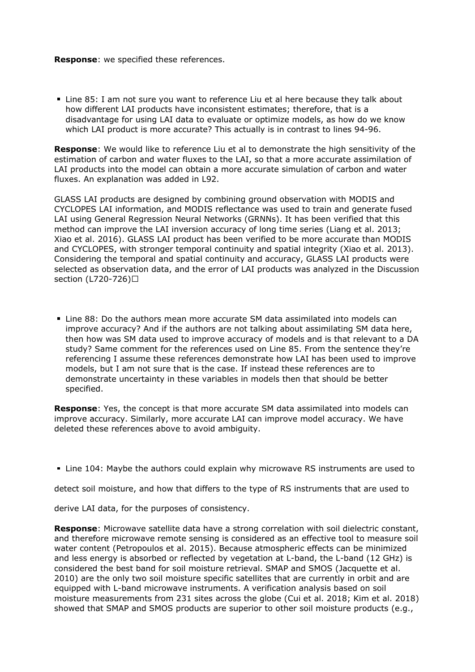#### **Response**: we specified these references.

Line 85: I am not sure you want to reference Liu et al here because they talk about how different LAI products have inconsistent estimates; therefore, that is a disadvantage for using LAI data to evaluate or optimize models, as how do we know which LAI product is more accurate? This actually is in contrast to lines 94-96.

**Response**: We would like to reference Liu et al to demonstrate the high sensitivity of the estimation of carbon and water fluxes to the LAI, so that a more accurate assimilation of LAI products into the model can obtain a more accurate simulation of carbon and water fluxes. An explanation was added in L92.

GLASS LAI products are designed by combining ground observation with MODIS and CYCLOPES LAI information, and MODIS reflectance was used to train and generate fused LAI using General Regression Neural Networks (GRNNs). It has been verified that this method can improve the LAI inversion accuracy of long time series (Liang et al. 2013; Xiao et al. 2016). GLASS LAI product has been verified to be more accurate than MODIS and CYCLOPES, with stronger temporal continuity and spatial integrity (Xiao et al. 2013). Considering the temporal and spatial continuity and accuracy, GLASS LAI products were selected as observation data, and the error of LAI products was analyzed in the Discussion section (L720-726)□

Line 88: Do the authors mean more accurate SM data assimilated into models can improve accuracy? And if the authors are not talking about assimilating SM data here, then how was SM data used to improve accuracy of models and is that relevant to a DA study? Same comment for the references used on Line 85. From the sentence they're referencing I assume these references demonstrate how LAI has been used to improve models, but I am not sure that is the case. If instead these references are to demonstrate uncertainty in these variables in models then that should be better specified.

**Response**: Yes, the concept is that more accurate SM data assimilated into models can improve accuracy. Similarly, more accurate LAI can improve model accuracy. We have deleted these references above to avoid ambiguity.

Line 104: Maybe the authors could explain why microwave RS instruments are used to

detect soil moisture, and how that differs to the type of RS instruments that are used to

derive LAI data, for the purposes of consistency.

**Response**: Microwave satellite data have a strong correlation with soil dielectric constant, and therefore microwave remote sensing is considered as an effective tool to measure soil water content (Petropoulos et al. 2015). Because atmospheric effects can be minimized and less energy is absorbed or reflected by vegetation at L-band, the L-band (12 GHz) is considered the best band for soil moisture retrieval. SMAP and SMOS (Jacquette et al. 2010) are the only two soil moisture specific satellites that are currently in orbit and are equipped with L-band microwave instruments. A verification analysis based on soil moisture measurements from 231 sites across the globe (Cui et al. 2018; Kim et al. 2018) showed that SMAP and SMOS products are superior to other soil moisture products (e.g.,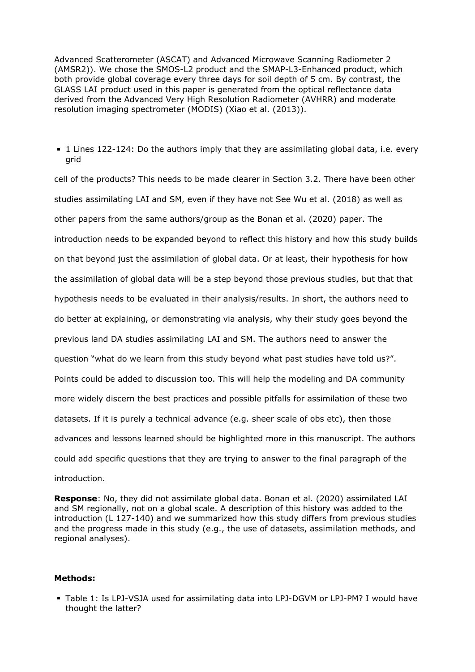Advanced Scatterometer (ASCAT) and Advanced Microwave Scanning Radiometer 2 (AMSR2)). We chose the SMOS-L2 product and the SMAP-L3-Enhanced product, which both provide global coverage every three days for soil depth of 5 cm. By contrast, the GLASS LAI product used in this paper is generated from the optical reflectance data derived from the Advanced Very High Resolution Radiometer (AVHRR) and moderate resolution imaging spectrometer (MODIS) (Xiao et al. (2013)).

1 Lines 122-124: Do the authors imply that they are assimilating global data, i.e. every grid

cell of the products? This needs to be made clearer in Section 3.2. There have been other studies assimilating LAI and SM, even if they have not See Wu et al. (2018) as well as other papers from the same authors/group as the Bonan et al. (2020) paper. The introduction needs to be expanded beyond to reflect this history and how this study builds on that beyond just the assimilation of global data. Or at least, their hypothesis for how the assimilation of global data will be a step beyond those previous studies, but that that hypothesis needs to be evaluated in their analysis/results. In short, the authors need to do better at explaining, or demonstrating via analysis, why their study goes beyond the previous land DA studies assimilating LAI and SM. The authors need to answer the question "what do we learn from this study beyond what past studies have told us?". Points could be added to discussion too. This will help the modeling and DA community more widely discern the best practices and possible pitfalls for assimilation of these two datasets. If it is purely a technical advance (e.g. sheer scale of obs etc), then those advances and lessons learned should be highlighted more in this manuscript. The authors could add specific questions that they are trying to answer to the final paragraph of the introduction.

**Response**: No, they did not assimilate global data. Bonan et al. (2020) assimilated LAI and SM regionally, not on a global scale. A description of this history was added to the introduction (L 127-140) and we summarized how this study differs from previous studies and the progress made in this study (e.g., the use of datasets, assimilation methods, and regional analyses).

#### **Methods:**

Table 1: Is LPJ-VSJA used for assimilating data into LPJ-DGVM or LPJ-PM? I would have thought the latter?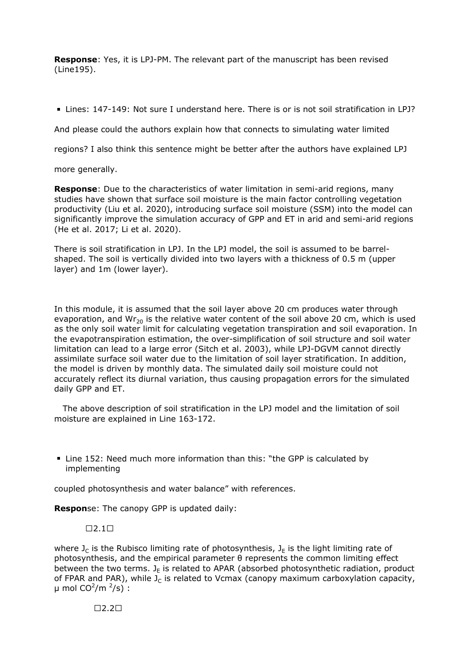**Response**: Yes, it is LPJ-PM. The relevant part of the manuscript has been revised (Line195).

Lines: 147-149: Not sure I understand here. There is or is not soil stratification in LPJ?

And please could the authors explain how that connects to simulating water limited

regions? I also think this sentence might be better after the authors have explained LPJ

more generally.

**Response**: Due to the characteristics of water limitation in semi-arid regions, many studies have shown that surface soil moisture is the main factor controlling vegetation productivity (Liu et al. 2020), introducing surface soil moisture (SSM) into the model can significantly improve the simulation accuracy of GPP and ET in arid and semi-arid regions (He et al. 2017; Li et al. 2020).

There is soil stratification in LPJ. In the LPJ model, the soil is assumed to be barrelshaped. The soil is vertically divided into two layers with a thickness of 0.5 m (upper layer) and 1m (lower layer).

In this module, it is assumed that the soil layer above 20 cm produces water through evaporation, and Wr<sub>20</sub> is the relative water content of the soil above 20 cm, which is used as the only soil water limit for calculating vegetation transpiration and soil evaporation. In the evapotranspiration estimation, the over-simplification of soil structure and soil water limitation can lead to a large error (Sitch et al. 2003), while LPJ-DGVM cannot directly assimilate surface soil water due to the limitation of soil layer stratification. In addition, the model is driven by monthly data. The simulated daily soil moisture could not accurately reflect its diurnal variation, thus causing propagation errors for the simulated daily GPP and ET.

 The above description of soil stratification in the LPJ model and the limitation of soil moisture are explained in Line 163-172.

Line 152: Need much more information than this: "the GPP is calculated by implementing

coupled photosynthesis and water balance" with references.

**Respon**se: The canopy GPP is updated daily:

 $\Box$ 2.1 $\Box$ 

where  $J_c$  is the Rubisco limiting rate of photosynthesis,  $J_F$  is the light limiting rate of photosynthesis, and the empirical parameter θ represents the common limiting effect between the two terms.  $J_F$  is related to APAR (absorbed photosynthetic radiation, product of FPAR and PAR), while  $J_c$  is related to Vcmax (canopy maximum carboxylation capacity,  $\mu$  mol CO<sup>2</sup>/m <sup>2</sup>/s) :

 $\Box$ 2.2 $\Box$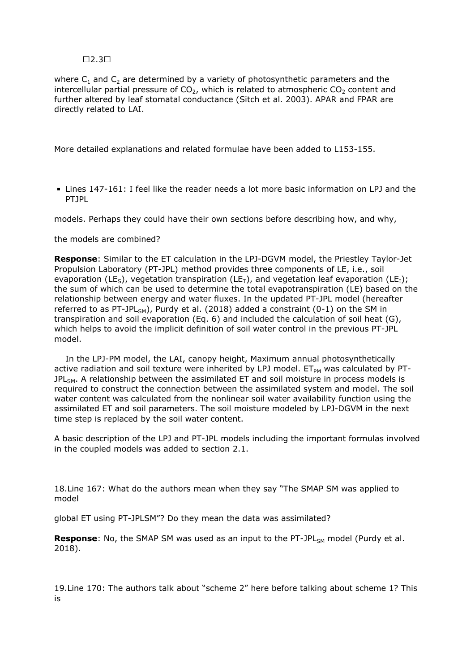### $\Box$ 2.3 $\Box$

where  $C_1$  and  $C_2$  are determined by a variety of photosynthetic parameters and the intercellular partial pressure of  $CO<sub>2</sub>$ , which is related to atmospheric  $CO<sub>2</sub>$  content and further altered by leaf stomatal conductance (Sitch et al. 2003). APAR and FPAR are directly related to LAI.

More detailed explanations and related formulae have been added to L153-155.

Lines 147-161: I feel like the reader needs a lot more basic information on LPJ and the PTJPL

models. Perhaps they could have their own sections before describing how, and why,

#### the models are combined?

**Response**: Similar to the ET calculation in the LPJ-DGVM model, the Priestley Taylor-Jet Propulsion Laboratory (PT-JPL) method provides three components of LE, i.e., soil evaporation (LE<sub>5</sub>), vegetation transpiration (LE<sub>T</sub>), and vegetation leaf evaporation (LE<sub>T</sub>); the sum of which can be used to determine the total evapotranspiration (LE) based on the relationship between energy and water fluxes. In the updated PT-JPL model (hereafter referred to as PT-JPL<sub>SM</sub>), Purdy et al. (2018) added a constraint (0-1) on the SM in transpiration and soil evaporation (Eq. 6) and included the calculation of soil heat (G), which helps to avoid the implicit definition of soil water control in the previous PT-JPL model.

 In the LPJ-PM model, the LAI, canopy height, Maximum annual photosynthetically active radiation and soil texture were inherited by LPJ model.  $ET_{PM}$  was calculated by PT- $JPL<sub>SM</sub>$ . A relationship between the assimilated ET and soil moisture in process models is required to construct the connection between the assimilated system and model. The soil water content was calculated from the nonlinear soil water availability function using the assimilated ET and soil parameters. The soil moisture modeled by LPJ-DGVM in the next time step is replaced by the soil water content.

A basic description of the LPJ and PT-JPL models including the important formulas involved in the coupled models was added to section 2.1.

18.Line 167: What do the authors mean when they say "The SMAP SM was applied to model

global ET using PT-JPLSM"? Do they mean the data was assimilated?

**Response**: No, the SMAP SM was used as an input to the PT-JPL<sub>SM</sub> model (Purdy et al. 2018).

19.Line 170: The authors talk about "scheme 2" here before talking about scheme 1? This is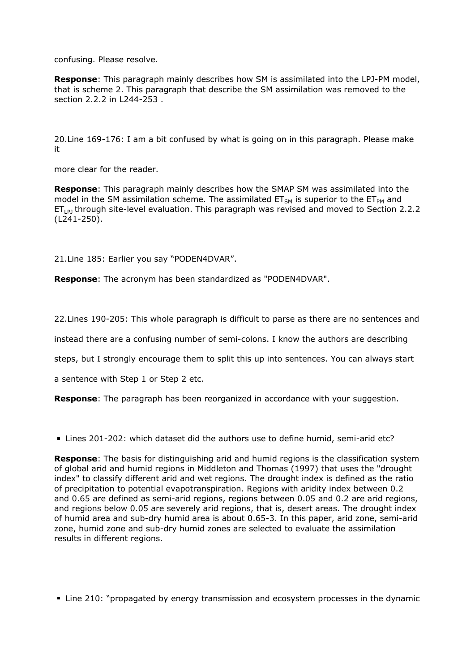confusing. Please resolve.

**Response**: This paragraph mainly describes how SM is assimilated into the LPJ-PM model, that is scheme 2. This paragraph that describe the SM assimilation was removed to the section 2.2.2 in L244-253 .

20.Line 169-176: I am a bit confused by what is going on in this paragraph. Please make it

more clear for the reader.

**Response**: This paragraph mainly describes how the SMAP SM was assimilated into the model in the SM assimilation scheme. The assimilated  $ET<sub>SM</sub>$  is superior to the  $ET<sub>PM</sub>$  and  $ET_{LPI}$  through site-level evaluation. This paragraph was revised and moved to Section 2.2.2 (L241-250).

21.Line 185: Earlier you say "PODEN4DVAR".

**Response**: The acronym has been standardized as "PODEN4DVAR".

22.Lines 190-205: This whole paragraph is difficult to parse as there are no sentences and

instead there are a confusing number of semi-colons. I know the authors are describing

steps, but I strongly encourage them to split this up into sentences. You can always start

a sentence with Step 1 or Step 2 etc.

**Response**: The paragraph has been reorganized in accordance with your suggestion.

Lines 201-202: which dataset did the authors use to define humid, semi-arid etc?

**Response**: The basis for distinguishing arid and humid regions is the classification system of global arid and humid regions in Middleton and Thomas (1997) that uses the "drought index" to classify different arid and wet regions. The drought index is defined as the ratio of precipitation to potential evapotranspiration. Regions with aridity index between 0.2 and 0.65 are defined as semi-arid regions, regions between 0.05 and 0.2 are arid regions, and regions below 0.05 are severely arid regions, that is, desert areas. The drought index of humid area and sub-dry humid area is about 0.65-3. In this paper, arid zone, semi-arid zone, humid zone and sub-dry humid zones are selected to evaluate the assimilation results in different regions.

Line 210: "propagated by energy transmission and ecosystem processes in the dynamic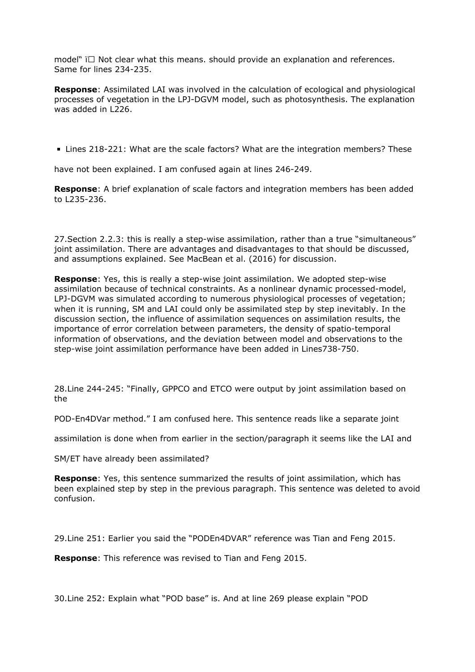model"  $\Box$  Not clear what this means. should provide an explanation and references. Same for lines 234-235.

**Response**: Assimilated LAI was involved in the calculation of ecological and physiological processes of vegetation in the LPJ-DGVM model, such as photosynthesis. The explanation was added in L226.

Lines 218-221: What are the scale factors? What are the integration members? These

have not been explained. I am confused again at lines 246-249.

**Response**: A brief explanation of scale factors and integration members has been added to L235-236.

27.Section 2.2.3: this is really a step-wise assimilation, rather than a true "simultaneous" joint assimilation. There are advantages and disadvantages to that should be discussed, and assumptions explained. See MacBean et al. (2016) for discussion.

**Response**: Yes, this is really a step-wise joint assimilation. We adopted step-wise assimilation because of technical constraints. As a nonlinear dynamic processed-model, LPJ-DGVM was simulated according to numerous physiological processes of vegetation; when it is running, SM and LAI could only be assimilated step by step inevitably. In the discussion section, the influence of assimilation sequences on assimilation results, the importance of error correlation between parameters, the density of spatio-temporal information of observations, and the deviation between model and observations to the step-wise joint assimilation performance have been added in Lines738-750.

28.Line 244-245: "Finally, GPPCO and ETCO were output by joint assimilation based on the

POD-En4DVar method." I am confused here. This sentence reads like a separate joint

assimilation is done when from earlier in the section/paragraph it seems like the LAI and

SM/ET have already been assimilated?

**Response**: Yes, this sentence summarized the results of joint assimilation, which has been explained step by step in the previous paragraph. This sentence was deleted to avoid confusion.

29.Line 251: Earlier you said the "PODEn4DVAR" reference was Tian and Feng 2015.

**Response**: This reference was revised to Tian and Feng 2015.

30.Line 252: Explain what "POD base" is. And at line 269 please explain "POD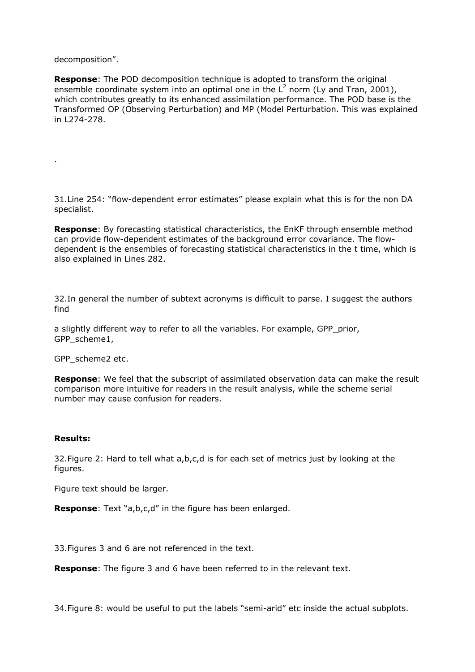decomposition".

.

**Response**: The POD decomposition technique is adopted to transform the original ensemble coordinate system into an optimal one in the  $L^2$  norm (Ly and Tran, 2001), which contributes greatly to its enhanced assimilation performance. The POD base is the Transformed OP (Observing Perturbation) and MP (Model Perturbation. This was explained in L274-278.

31.Line 254: "flow-dependent error estimates" please explain what this is for the non DA specialist.

**Response**: By forecasting statistical characteristics, the EnKF through ensemble method can provide flow-dependent estimates of the background error covariance. The flowdependent is the ensembles of forecasting statistical characteristics in the t time, which is also explained in Lines 282.

32.In general the number of subtext acronyms is difficult to parse. I suggest the authors find

a slightly different way to refer to all the variables. For example, GPP\_prior, GPP\_scheme1,

GPP\_scheme2 etc.

**Response**: We feel that the subscript of assimilated observation data can make the result comparison more intuitive for readers in the result analysis, while the scheme serial number may cause confusion for readers.

### **Results:**

32.Figure 2: Hard to tell what a,b,c,d is for each set of metrics just by looking at the figures.

Figure text should be larger.

**Response**: Text "a,b,c,d" in the figure has been enlarged.

33.Figures 3 and 6 are not referenced in the text.

**Response**: The figure 3 and 6 have been referred to in the relevant text.

34.Figure 8: would be useful to put the labels "semi-arid" etc inside the actual subplots.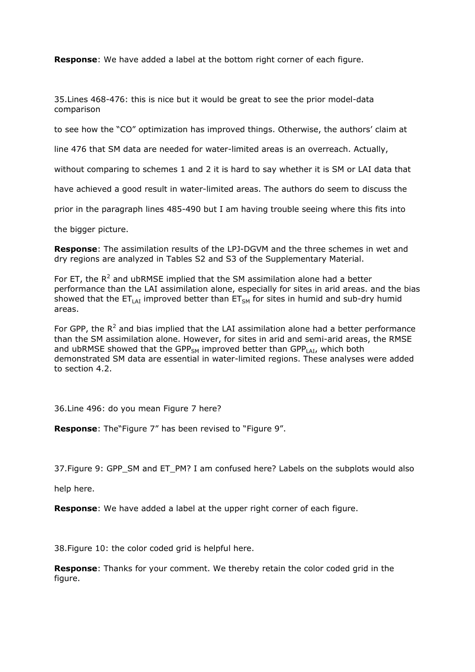**Response**: We have added a label at the bottom right corner of each figure.

35.Lines 468-476: this is nice but it would be great to see the prior model-data comparison

to see how the "CO" optimization has improved things. Otherwise, the authors' claim at

line 476 that SM data are needed for water-limited areas is an overreach. Actually,

without comparing to schemes 1 and 2 it is hard to say whether it is SM or LAI data that

have achieved a good result in water-limited areas. The authors do seem to discuss the

prior in the paragraph lines 485-490 but I am having trouble seeing where this fits into

the bigger picture.

**Response**: The assimilation results of the LPJ-DGVM and the three schemes in wet and dry regions are analyzed in Tables S2 and S3 of the Supplementary Material.

For ET, the  $R^2$  and ubRMSE implied that the SM assimilation alone had a better performance than the LAI assimilation alone, especially for sites in arid areas. and the bias showed that the  $ET_{LAI}$  improved better than  $ET_{SM}$  for sites in humid and sub-dry humid areas.

For GPP, the  $R^2$  and bias implied that the LAI assimilation alone had a better performance than the SM assimilation alone. However, for sites in arid and semi-arid areas, the RMSE and ubRMSE showed that the GPP<sub>SM</sub> improved better than GPP<sub>LAI</sub>, which both demonstrated SM data are essential in water-limited regions. These analyses were added to section 4.2.

36.Line 496: do you mean Figure 7 here?

**Response**: The"Figure 7" has been revised to "Figure 9".

37. Figure 9: GPP\_SM and ET\_PM? I am confused here? Labels on the subplots would also

help here.

**Response**: We have added a label at the upper right corner of each figure.

38.Figure 10: the color coded grid is helpful here.

**Response**: Thanks for your comment. We thereby retain the color coded grid in the figure.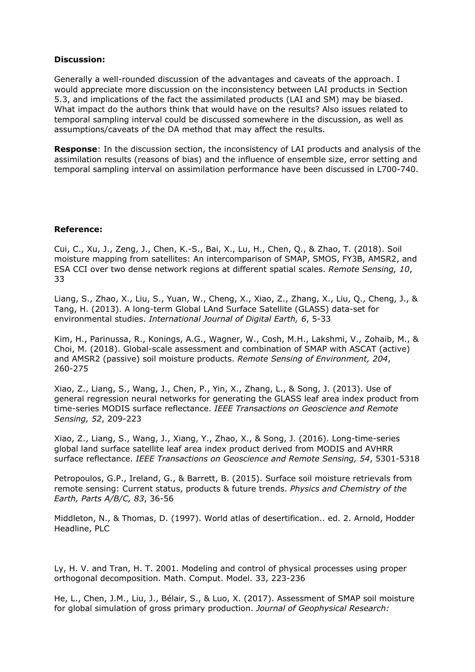### **Discussion:**

Generally a well-rounded discussion of the advantages and caveats of the approach. I would appreciate more discussion on the inconsistency between LAI products in Section 5.3, and implications of the fact the assimilated products (LAI and SM) may be biased. What impact do the authors think that would have on the results? Also issues related to temporal sampling interval could be discussed somewhere in the discussion, as well as assumptions/caveats of the DA method that may affect the results.

**Response**: In the discussion section, the inconsistency of LAI products and analysis of the assimilation results (reasons of bias) and the influence of ensemble size, error setting and temporal sampling interval on assimilation performance have been discussed in L700-740.

# **Reference:**

Cui, C., Xu, J., Zeng, J., Chen, K.-S., Bai, X., Lu, H., Chen, Q., & Zhao, T. (2018). Soil moisture mapping from satellites: An intercomparison of SMAP, SMOS, FY3B, AMSR2, and ESA CCI over two dense network regions at different spatial scales. *Remote Sensing, 10*, 33

Liang, S., Zhao, X., Liu, S., Yuan, W., Cheng, X., Xiao, Z., Zhang, X., Liu, Q., Cheng, J., & Tang, H. (2013). A long-term Global LAnd Surface Satellite (GLASS) data-set for environmental studies. *International Journal of Digital Earth, 6*, 5-33

Kim, H., Parinussa, R., Konings, A.G., Wagner, W., Cosh, M.H., Lakshmi, V., Zohaib, M., & Choi, M. (2018). Global-scale assessment and combination of SMAP with ASCAT (active) and AMSR2 (passive) soil moisture products. *Remote Sensing of Environment, 204*, 260-275

Xiao, Z., Liang, S., Wang, J., Chen, P., Yin, X., Zhang, L., & Song, J. (2013). Use of general regression neural networks for generating the GLASS leaf area index product from time-series MODIS surface reflectance. *IEEE Transactions on Geoscience and Remote Sensing, 52*, 209-223

Xiao, Z., Liang, S., Wang, J., Xiang, Y., Zhao, X., & Song, J. (2016). Long-time-series global land surface satellite leaf area index product derived from MODIS and AVHRR surface reflectance. *IEEE Transactions on Geoscience and Remote Sensing, 54*, 5301-5318

Petropoulos, G.P., Ireland, G., & Barrett, B. (2015). Surface soil moisture retrievals from remote sensing: Current status, products & future trends. *Physics and Chemistry of the Earth, Parts A/B/C, 83*, 36-56

Middleton, N., & Thomas, D. (1997). World atlas of desertification.. ed. 2. Arnold, Hodder Headline, PLC

Ly, H. V. and Tran, H. T. 2001. Modeling and control of physical processes using proper orthogonal decomposition. Math. Comput. Model. 33, 223-236

He, L., Chen, J.M., Liu, J., Bélair, S., & Luo, X. (2017). Assessment of SMAP soil moisture for global simulation of gross primary production. *Journal of Geophysical Research:*